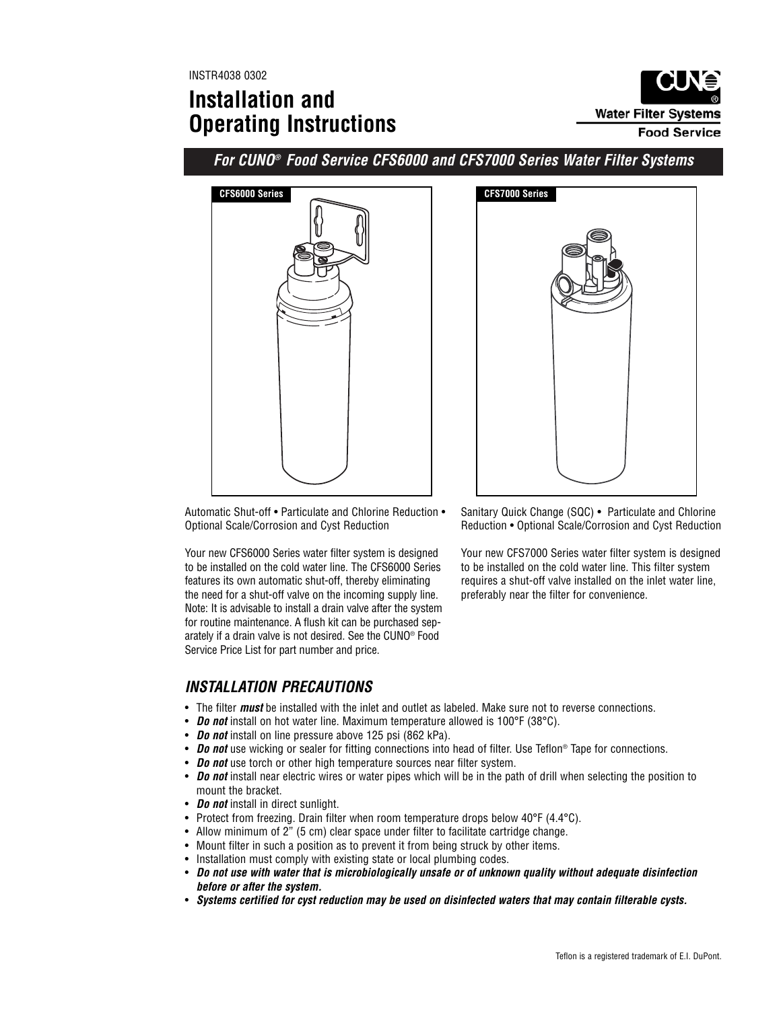INSTR4038 0302

# **Installation and Operating Instructions**



**For CUNO® Food Service CFS6000 and CFS7000 Series Water Filter Systems**



Automatic Shut-off • Particulate and Chlorine Reduction • Optional Scale/Corrosion and Cyst Reduction

Your new CFS6000 Series water filter system is designed to be installed on the cold water line. The CFS6000 Series features its own automatic shut-off, thereby eliminating the need for a shut-off valve on the incoming supply line. Note: It is advisable to install a drain valve after the system for routine maintenance. A flush kit can be purchased separately if a drain valve is not desired. See the CUNO® Food Service Price List for part number and price.

Sanitary Quick Change (SQC) • Particulate and Chlorine Reduction • Optional Scale/Corrosion and Cyst Reduction

Your new CFS7000 Series water filter system is designed to be installed on the cold water line. This filter system requires a shut-off valve installed on the inlet water line, preferably near the filter for convenience.

# **INSTALLATION PRECAUTIONS**

- The filter **must** be installed with the inlet and outlet as labeled. Make sure not to reverse connections.
- **Do not** install on hot water line. Maximum temperature allowed is 100°F (38°C).
- **Do not** install on line pressure above 125 psi (862 kPa).
- **Do not** use wicking or sealer for fitting connections into head of filter. Use Teflon® Tape for connections.
- **Do not** use torch or other high temperature sources near filter system.
- **Do not** install near electric wires or water pipes which will be in the path of drill when selecting the position to mount the bracket.
- **Do not** install in direct sunlight.
- Protect from freezing. Drain filter when room temperature drops below 40°F (4.4°C).
- Allow minimum of 2" (5 cm) clear space under filter to facilitate cartridge change.
- Mount filter in such a position as to prevent it from being struck by other items.
- Installation must comply with existing state or local plumbing codes.
- **Do not use with water that is microbiologically unsafe or of unknown quality without adequate disinfection before or after the system.**
- **Systems certified for cyst reduction may be used on disinfected waters that may contain filterable cysts.**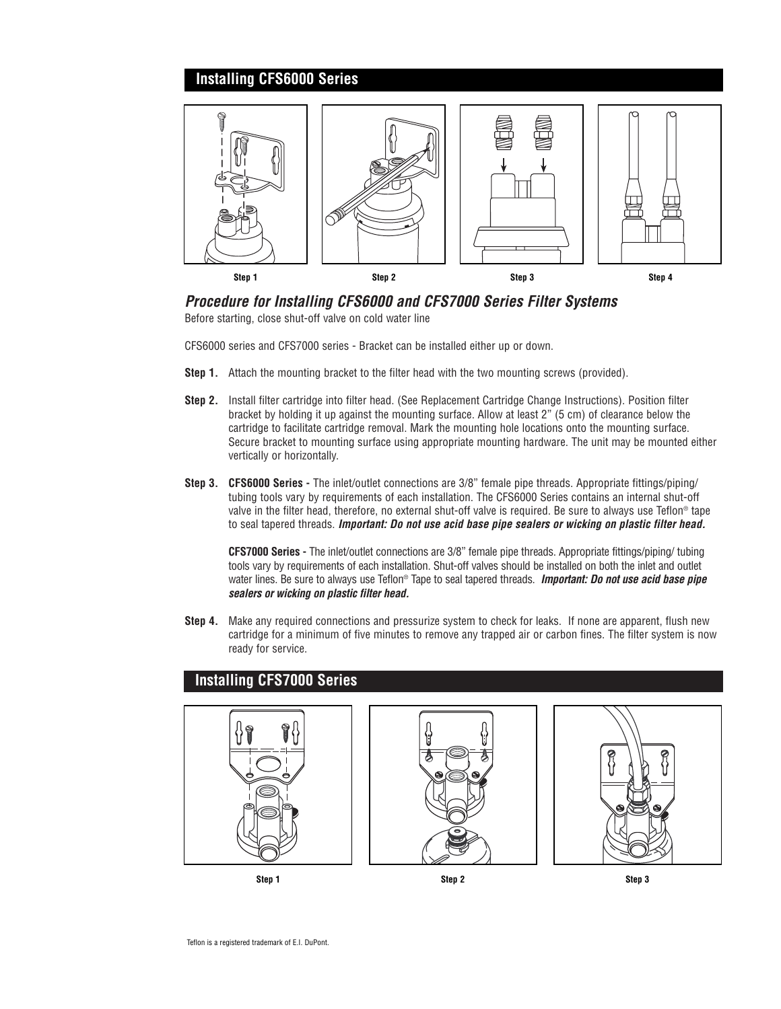## **Installing CFS6000 Series**



### **Procedure for Installing CFS6000 and CFS7000 Series Filter Systems**

Before starting, close shut-off valve on cold water line

CFS6000 series and CFS7000 series - Bracket can be installed either up or down.

- **Step 1.** Attach the mounting bracket to the filter head with the two mounting screws (provided).
- **Step 2.** Install filter cartridge into filter head. (See Replacement Cartridge Change Instructions). Position filter bracket by holding it up against the mounting surface. Allow at least 2" (5 cm) of clearance below the cartridge to facilitate cartridge removal. Mark the mounting hole locations onto the mounting surface. Secure bracket to mounting surface using appropriate mounting hardware. The unit may be mounted either vertically or horizontally.
- **Step 3. CFS6000 Series -** The inlet/outlet connections are 3/8" female pipe threads. Appropriate fittings/piping/ tubing tools vary by requirements of each installation. The CFS6000 Series contains an internal shut-off valve in the filter head, therefore, no external shut-off valve is required. Be sure to always use Teflon® tape to seal tapered threads. **Important: Do not use acid base pipe sealers or wicking on plastic filter head.**

**CFS7000 Series -** The inlet/outlet connections are 3/8" female pipe threads. Appropriate fittings/piping/ tubing tools vary by requirements of each installation. Shut-off valves should be installed on both the inlet and outlet water lines. Be sure to always use Teflon® Tape to seal tapered threads. **Important: Do not use acid base pipe sealers or wicking on plastic filter head.** 

**Step 4.** Make any required connections and pressurize system to check for leaks. If none are apparent, flush new cartridge for a minimum of five minutes to remove any trapped air or carbon fines. The filter system is now ready for service.



**Installing CFS7000 Series**



**Step 1 Step 2 Step 3**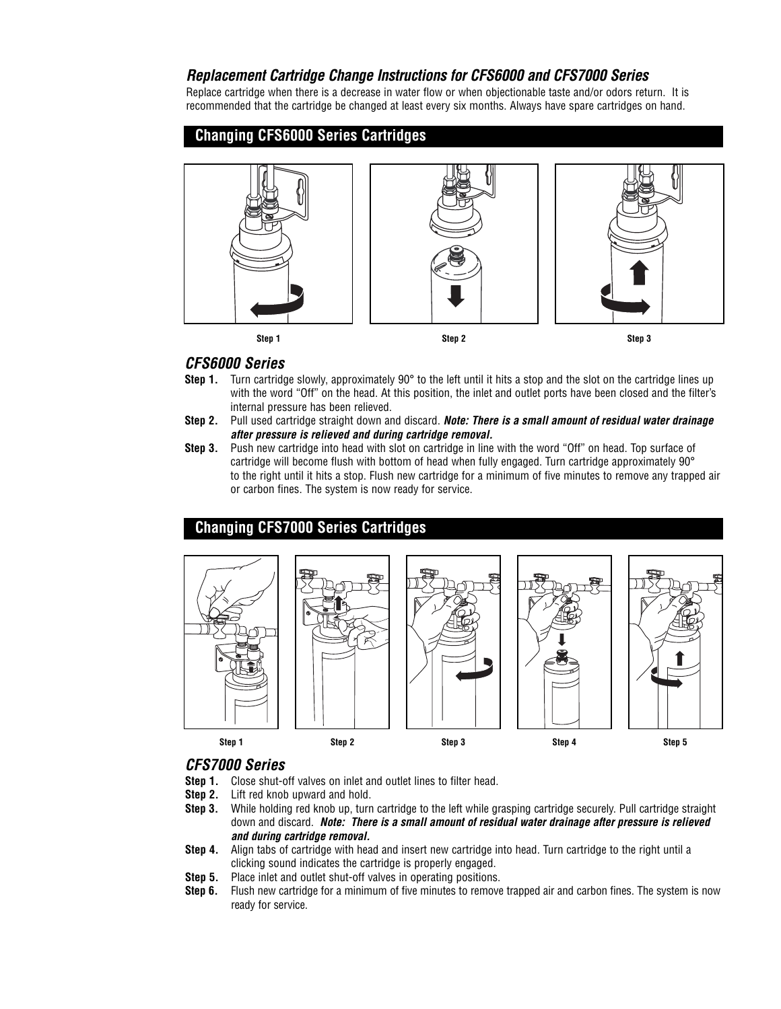### **Replacement Cartridge Change Instructions for CFS6000 and CFS7000 Series**

Replace cartridge when there is a decrease in water flow or when objectionable taste and/or odors return. It is recommended that the cartridge be changed at least every six months. Always have spare cartridges on hand.

### **Changing CFS6000 Series Cartridges**



#### **CFS6000 Series**

- **Step 1.** Turn cartridge slowly, approximately 90° to the left until it hits a stop and the slot on the cartridge lines up with the word "Off" on the head. At this position, the inlet and outlet ports have been closed and the filter's internal pressure has been relieved.
- **Step 2.** Pull used cartridge straight down and discard. **Note: There is a small amount of residual water drainage after pressure is relieved and during cartridge removal.**
- **Step 3.** Push new cartridge into head with slot on cartridge in line with the word "Off" on head. Top surface of cartridge will become flush with bottom of head when fully engaged. Turn cartridge approximately 90° to the right until it hits a stop. Flush new cartridge for a minimum of five minutes to remove any trapped air or carbon fines. The system is now ready for service.

#### **Changing CFS7000 Series Cartridges**



#### **CFS7000 Series**

- **Step 1.** Close shut-off valves on inlet and outlet lines to filter head.
- **Step 2.** Lift red knob upward and hold.
- **Step 3.** While holding red knob up, turn cartridge to the left while grasping cartridge securely. Pull cartridge straight down and discard. **Note: There is a small amount of residual water drainage after pressure is relieved and during cartridge removal.**
- **Step 4.** Align tabs of cartridge with head and insert new cartridge into head. Turn cartridge to the right until a clicking sound indicates the cartridge is properly engaged.
- **Step 5.** Place inlet and outlet shut-off valves in operating positions.
- **Step 6.** Flush new cartridge for a minimum of five minutes to remove trapped air and carbon fines. The system is now ready for service.